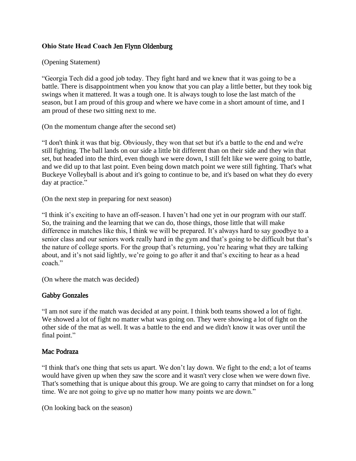# **Ohio State Head Coach** Jen Flynn Oldenburg

(Opening Statement)

"Georgia Tech did a good job today. They fight hard and we knew that it was going to be a battle. There is disappointment when you know that you can play a little better, but they took big swings when it mattered. It was a tough one. It is always tough to lose the last match of the season, but I am proud of this group and where we have come in a short amount of time, and I am proud of these two sitting next to me.

(On the momentum change after the second set)

"I don't think it was that big. Obviously, they won that set but it's a battle to the end and we're still fighting. The ball lands on our side a little bit different than on their side and they win that set, but headed into the third, even though we were down, I still felt like we were going to battle, and we did up to that last point. Even being down match point we were still fighting. That's what Buckeye Volleyball is about and it's going to continue to be, and it's based on what they do every day at practice."

(On the next step in preparing for next season)

"I think it's exciting to have an off-season. I haven't had one yet in our program with our staff. So, the training and the learning that we can do, those things, those little that will make difference in matches like this, I think we will be prepared. It's always hard to say goodbye to a senior class and our seniors work really hard in the gym and that's going to be difficult but that's the nature of college sports. For the group that's returning, you're hearing what they are talking about, and it's not said lightly, we're going to go after it and that's exciting to hear as a head coach."

(On where the match was decided)

# Gabby Gonzales

"I am not sure if the match was decided at any point. I think both teams showed a lot of fight. We showed a lot of fight no matter what was going on. They were showing a lot of fight on the other side of the mat as well. It was a battle to the end and we didn't know it was over until the final point."

# Mac Podraza

"I think that's one thing that sets us apart. We don't lay down. We fight to the end; a lot of teams would have given up when they saw the score and it wasn't very close when we were down five. That's something that is unique about this group. We are going to carry that mindset on for a long time. We are not going to give up no matter how many points we are down."

(On looking back on the season)